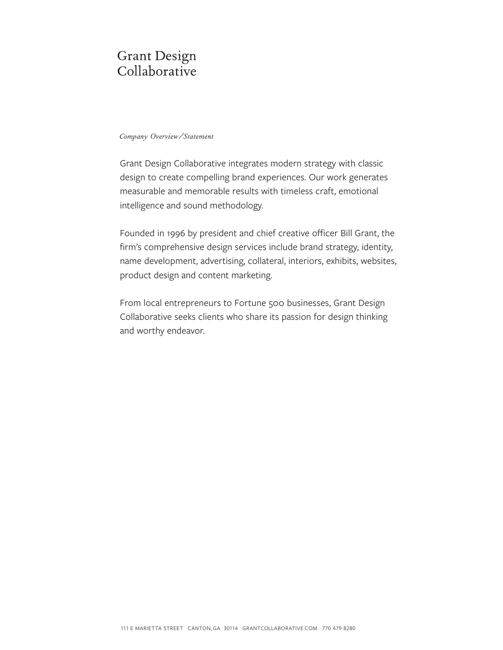#### *Company Overview/Statement*

Grant Design Collaborative integrates modern strategy with classic design to create compelling brand experiences. Our work generates measurable and memorable results with timeless craft, emotional intelligence and sound methodology.

Founded in 1996 by president and chief creative officer Bill Grant, the firm's comprehensive design services include brand strategy, identity, name development, advertising, collateral, interiors, exhibits, websites, product design and content marketing.

From local entrepreneurs to Fortune 500 businesses, Grant Design Collaborative seeks clients who share its passion for design thinking and worthy endeavor.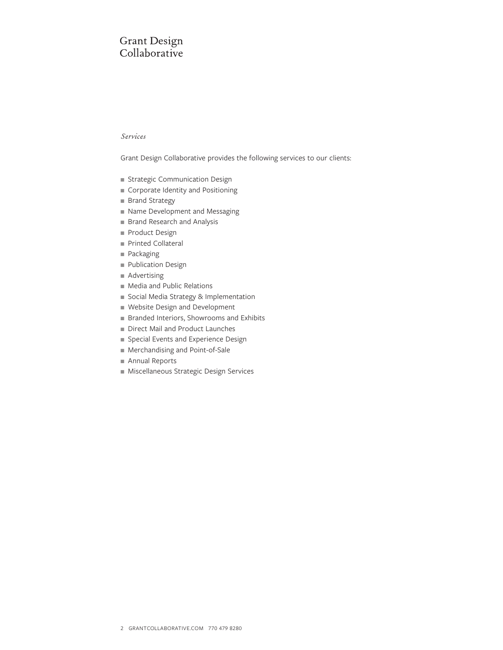#### *Services*

Grant Design Collaborative provides the following services to our clients:

- **n** Strategic Communication Design
- Corporate Identity and Positioning
- **Brand Strategy**
- Name Development and Messaging
- Brand Research and Analysis
- Product Design
- Printed Collateral
- Packaging
- Publication Design
- $A$ dvertising
- <sup>n</sup> Media and Public Relations
- social Media Strategy & Implementation
- Website Design and Development
- Branded Interiors, Showrooms and Exhibits
- Direct Mail and Product Launches
- **n** Special Events and Experience Design
- Merchandising and Point-of-Sale
- Annual Reports
- <sup>n</sup> Miscellaneous Strategic Design Services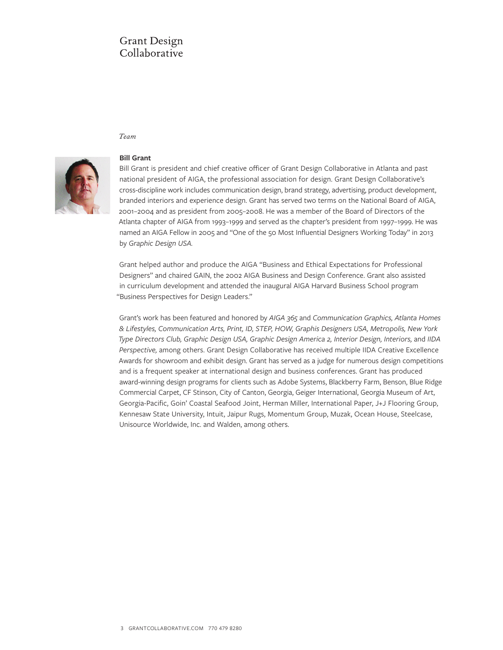#### *Team*



#### **Bill Grant**

Bill Grant is president and chief creative officer of Grant Design Collaborative in Atlanta and past national president of AIGA, the professional association for design. Grant Design Collaborative's cross-discipline work includes communication design, brand strategy, advertising, product development, branded interiors and experience design. Grant has served two terms on the National Board of AIGA, 2001–2004 and as president from 2005–2008. He was a member of the Board of Directors of the Atlanta chapter of AIGA from 1993–1999 and served as the chapter's president from 1997–1999. He was named an AIGA Fellow in 2005 and "One of the 50 Most Influential Designers Working Today" in 2013 by *Graphic Design USA.*

Grant helped author and produce the AIGA "Business and Ethical Expectations for Professional Designers" and chaired GAIN, the 2002 AIGA Business and Design Conference. Grant also assisted in curriculum development and attended the inaugural AIGA Harvard Business School program "Business Perspectives for Design Leaders."

Grant's work has been featured and honored by *AIGA 365* and *Communication Graphics, Atlanta Homes & Lifestyles, Communication Arts, Print, ID, STEP, HOW, Graphis Designers USA, Metropolis, New York Type Directors Club, Graphic Design USA, Graphic Design America 2, Interior Design, Interiors,* and *IIDA Perspective,* among others. Grant Design Collaborative has received multiple IIDA Creative Excellence Awards for showroom and exhibit design. Grant has served as a judge for numerous design competitions and is a frequent speaker at international design and business conferences. Grant has produced award-winning design programs for clients such as Adobe Systems, Blackberry Farm, Benson, Blue Ridge Commercial Carpet, CF Stinson, City of Canton, Georgia, Geiger International, Georgia Museum of Art, Georgia-Pacific, Goin' Coastal Seafood Joint, Herman Miller, International Paper, J+J Flooring Group, Kennesaw State University, Intuit, Jaipur Rugs, Momentum Group, Muzak, Ocean House, Steelcase, Unisource Worldwide, Inc. and Walden, among others.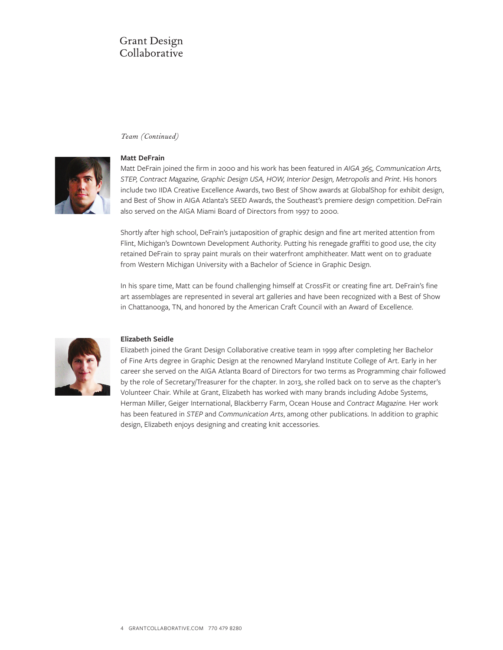#### *Team (Continued)*



### **Matt DeFrain**

Matt DeFrain joined the firm in 2000 and his work has been featured in *AIGA 365, Communication Arts, STEP, Contract Magazine, Graphic Design USA, HOW, Interior Design, Metropolis* and *Print*. His honors include two IIDA Creative Excellence Awards, two Best of Show awards at GlobalShop for exhibit design, and Best of Show in AIGA Atlanta's SEED Awards, the Southeast's premiere design competition. DeFrain also served on the AIGA Miami Board of Directors from 1997 to 2000.

Shortly after high school, DeFrain's juxtaposition of graphic design and fine art merited attention from Flint, Michigan's Downtown Development Authority. Putting his renegade graffiti to good use, the city retained DeFrain to spray paint murals on their waterfront amphitheater. Matt went on to graduate from Western Michigan University with a Bachelor of Science in Graphic Design.

In his spare time, Matt can be found challenging himself at CrossFit or creating fine art. DeFrain's fine art assemblages are represented in several art galleries and have been recognized with a Best of Show in Chattanooga, TN, and honored by the American Craft Council with an Award of Excellence.



### **Elizabeth Seidle**

Elizabeth joined the Grant Design Collaborative creative team in 1999 after completing her Bachelor of Fine Arts degree in Graphic Design at the renowned Maryland Institute College of Art. Early in her career she served on the AIGA Atlanta Board of Directors for two terms as Programming chair followed by the role of Secretary/Treasurer for the chapter. In 2013, she rolled back on to serve as the chapter's Volunteer Chair. While at Grant, Elizabeth has worked with many brands including Adobe Systems, Herman Miller, Geiger International, Blackberry Farm, Ocean House and *Contract Magazine.* Her work has been featured in *STEP* and *Communication Arts*, among other publications. In addition to graphic design, Elizabeth enjoys designing and creating knit accessories.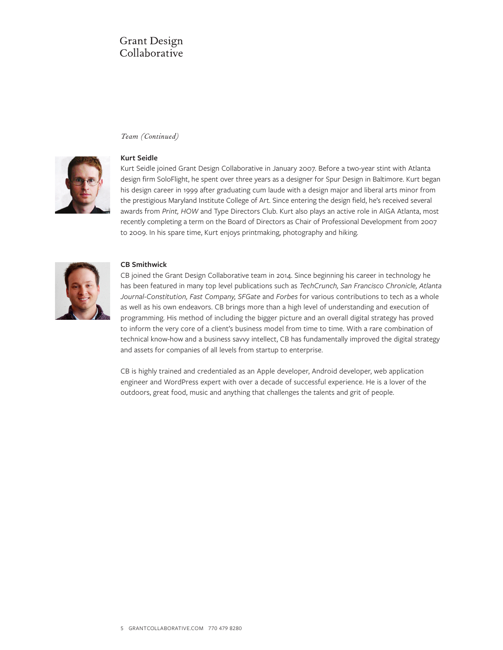#### *Team (Continued)*



### **Kurt Seidle**

Kurt Seidle joined Grant Design Collaborative in January 2007. Before a two-year stint with Atlanta design firm SoloFlight, he spent over three years as a designer for Spur Design in Baltimore. Kurt began his design career in 1999 after graduating cum laude with a design major and liberal arts minor from the prestigious Maryland Institute College of Art. Since entering the design field, he's received several awards from *Print, HOW* and Type Directors Club. Kurt also plays an active role in AIGA Atlanta, most recently completing a term on the Board of Directors as Chair of Professional Development from 2007 to 2009. In his spare time, Kurt enjoys printmaking, photography and hiking.



#### **CB Smithwick**

CB joined the Grant Design Collaborative team in 2014. Since beginning his career in technology he has been featured in many top level publications such as *TechCrunch, San Francisco Chronicle, Atlanta Journal-Constitution, Fast Company, SFGate* and *Forbes* for various contributions to tech as a whole as well as his own endeavors. CB brings more than a high level of understanding and execution of programming. His method of including the bigger picture and an overall digital strategy has proved to inform the very core of a client's business model from time to time. With a rare combination of technical know-how and a business savvy intellect, CB has fundamentally improved the digital strategy and assets for companies of all levels from startup to enterprise.

CB is highly trained and credentialed as an Apple developer, Android developer, web application engineer and WordPress expert with over a decade of successful experience. He is a lover of the outdoors, great food, music and anything that challenges the talents and grit of people.